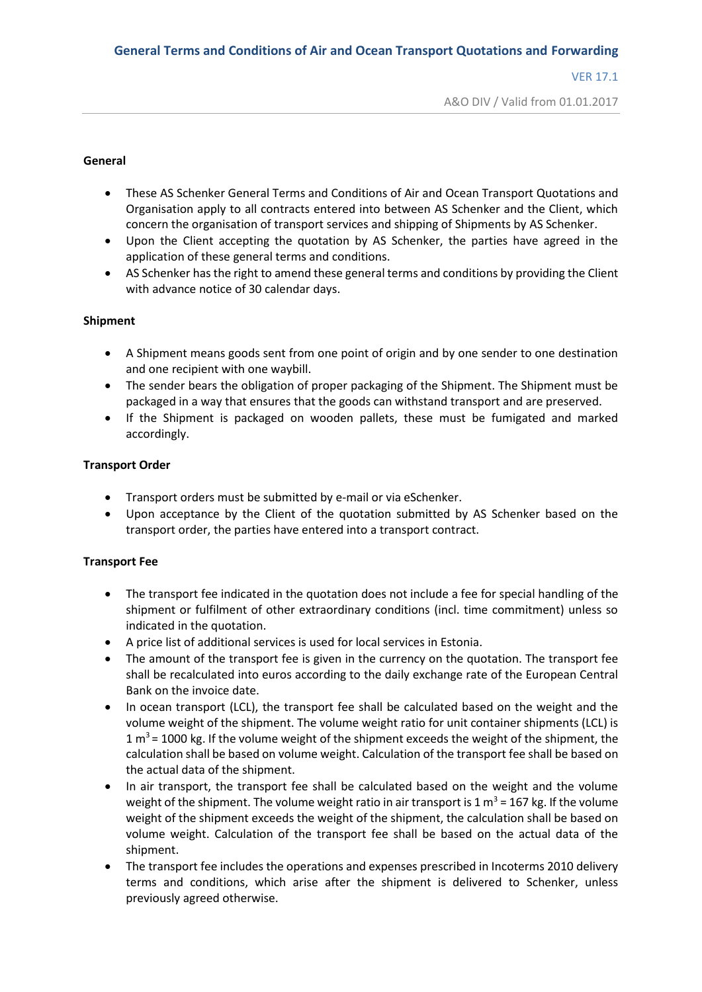A&O DIV / Valid from 01.01.2017

#### **General**

- These AS Schenker General Terms and Conditions of Air and Ocean Transport Quotations and Organisation apply to all contracts entered into between AS Schenker and the Client, which concern the organisation of transport services and shipping of Shipments by AS Schenker.
- Upon the Client accepting the quotation by AS Schenker, the parties have agreed in the application of these general terms and conditions.
- AS Schenker has the right to amend these general terms and conditions by providing the Client with advance notice of 30 calendar days.

# **Shipment**

- A Shipment means goods sent from one point of origin and by one sender to one destination and one recipient with one waybill.
- The sender bears the obligation of proper packaging of the Shipment. The Shipment must be packaged in a way that ensures that the goods can withstand transport and are preserved.
- If the Shipment is packaged on wooden pallets, these must be fumigated and marked accordingly.

### **Transport Order**

- Transport orders must be submitted by e-mail or via eSchenker.
- Upon acceptance by the Client of the quotation submitted by AS Schenker based on the transport order, the parties have entered into a transport contract.

# **Transport Fee**

- The transport fee indicated in the quotation does not include a fee for special handling of the shipment or fulfilment of other extraordinary conditions (incl. time commitment) unless so indicated in the quotation.
- A price list of additional services is used for local services in Estonia.
- The amount of the transport fee is given in the currency on the quotation. The transport fee shall be recalculated into euros according to the daily exchange rate of the European Central Bank on the invoice date.
- In ocean transport (LCL), the transport fee shall be calculated based on the weight and the volume weight of the shipment. The volume weight ratio for unit container shipments (LCL) is 1  $\mathrm{m}^3$  = 1000 kg. If the volume weight of the shipment exceeds the weight of the shipment, the calculation shall be based on volume weight. Calculation of the transport fee shall be based on the actual data of the shipment.
- In air transport, the transport fee shall be calculated based on the weight and the volume weight of the shipment. The volume weight ratio in air transport is 1  $\text{m}^3$  = 167 kg. If the volume weight of the shipment exceeds the weight of the shipment, the calculation shall be based on volume weight. Calculation of the transport fee shall be based on the actual data of the shipment.
- The transport fee includes the operations and expenses prescribed in Incoterms 2010 delivery terms and conditions, which arise after the shipment is delivered to Schenker, unless previously agreed otherwise.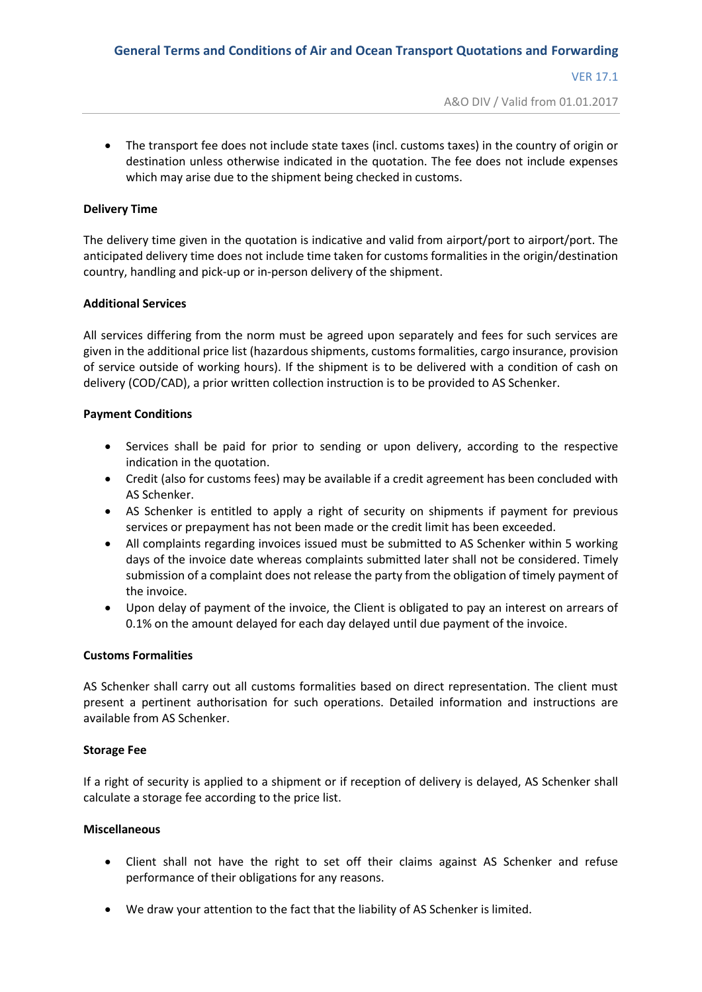A&O DIV / Valid from 01.01.2017

 The transport fee does not include state taxes (incl. customs taxes) in the country of origin or destination unless otherwise indicated in the quotation. The fee does not include expenses which may arise due to the shipment being checked in customs.

## **Delivery Time**

The delivery time given in the quotation is indicative and valid from airport/port to airport/port. The anticipated delivery time does not include time taken for customs formalities in the origin/destination country, handling and pick-up or in-person delivery of the shipment.

# **Additional Services**

All services differing from the norm must be agreed upon separately and fees for such services are given in the additional price list (hazardous shipments, customs formalities, cargo insurance, provision of service outside of working hours). If the shipment is to be delivered with a condition of cash on delivery (COD/CAD), a prior written collection instruction is to be provided to AS Schenker.

### **Payment Conditions**

- Services shall be paid for prior to sending or upon delivery, according to the respective indication in the quotation.
- Credit (also for customs fees) may be available if a credit agreement has been concluded with AS Schenker.
- AS Schenker is entitled to apply a right of security on shipments if payment for previous services or prepayment has not been made or the credit limit has been exceeded.
- All complaints regarding invoices issued must be submitted to AS Schenker within 5 working days of the invoice date whereas complaints submitted later shall not be considered. Timely submission of a complaint does not release the party from the obligation of timely payment of the invoice.
- Upon delay of payment of the invoice, the Client is obligated to pay an interest on arrears of 0.1% on the amount delayed for each day delayed until due payment of the invoice.

#### **Customs Formalities**

AS Schenker shall carry out all customs formalities based on direct representation. The client must present a pertinent authorisation for such operations. Detailed information and instructions are available from AS Schenker.

#### **Storage Fee**

If a right of security is applied to a shipment or if reception of delivery is delayed, AS Schenker shall calculate a storage fee according to the price list.

#### **Miscellaneous**

- Client shall not have the right to set off their claims against AS Schenker and refuse performance of their obligations for any reasons.
- We draw your attention to the fact that the liability of AS Schenker is limited.